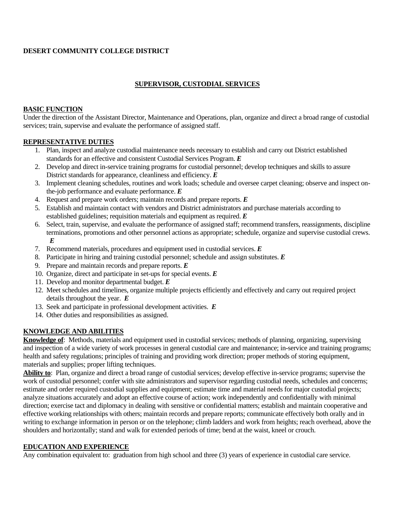# **DESERT COMMUNITY COLLEGE DISTRICT**

# **SUPERVISOR, CUSTODIAL SERVICES**

#### **BASIC FUNCTION**

Under the direction of the Assistant Director, Maintenance and Operations, plan, organize and direct a broad range of custodial services; train, supervise and evaluate the performance of assigned staff.

#### **REPRESENTATIVE DUTIES**

- 1. Plan, inspect and analyze custodial maintenance needs necessary to establish and carry out District established standards for an effective and consistent Custodial Services Program. *E*
- 2. Develop and direct in-service training programs for custodial personnel; develop techniques and skills to assure District standards for appearance, cleanliness and efficiency. *E*
- 3. Implement cleaning schedules, routines and work loads; schedule and oversee carpet cleaning; observe and inspect onthe-job performance and evaluate performance. *E*
- 4. Request and prepare work orders; maintain records and prepare reports. *E*
- 5. Establish and maintain contact with vendors and District administrators and purchase materials according to established guidelines; requisition materials and equipment as required. *E*
- 6. Select, train, supervise, and evaluate the performance of assigned staff; recommend transfers, reassignments, discipline terminations, promotions and other personnel actions as appropriate; schedule, organize and supervise custodial crews. *E*
- 7. Recommend materials, procedures and equipment used in custodial services. *E*
- 8. Participate in hiring and training custodial personnel; schedule and assign substitutes. *E*
- 9. Prepare and maintain records and prepare reports. *E*
- 10. Organize, direct and participate in set-ups for special events. *E*
- 11. Develop and monitor departmental budget. *E*
- 12. Meet schedules and timelines, organize multiple projects efficiently and effectively and carry out required project details throughout the year. *E*
- 13. Seek and participate in professional development activities. *E*
- 14. Other duties and responsibilities as assigned.

#### **KNOWLEDGE AND ABILITIES**

**Knowledge of**: Methods, materials and equipment used in custodial services; methods of planning, organizing, supervising and inspection of a wide variety of work processes in general custodial care and maintenance; in-service and training programs; health and safety regulations; principles of training and providing work direction; proper methods of storing equipment, materials and supplies; proper lifting techniques.

**Ability to**: Plan, organize and direct a broad range of custodial services; develop effective in-service programs; supervise the work of custodial personnel; confer with site administrators and supervisor regarding custodial needs, schedules and concerns; estimate and order required custodial supplies and equipment; estimate time and material needs for major custodial projects; analyze situations accurately and adopt an effective course of action; work independently and confidentially with minimal direction; exercise tact and diplomacy in dealing with sensitive or confidential matters; establish and maintain cooperative and effective working relationships with others; maintain records and prepare reports; communicate effectively both orally and in writing to exchange information in person or on the telephone; climb ladders and work from heights; reach overhead, above the shoulders and horizontally; stand and walk for extended periods of time; bend at the waist, kneel or crouch.

#### **EDUCATION AND EXPERIENCE**

Any combination equivalent to: graduation from high school and three (3) years of experience in custodial care service.